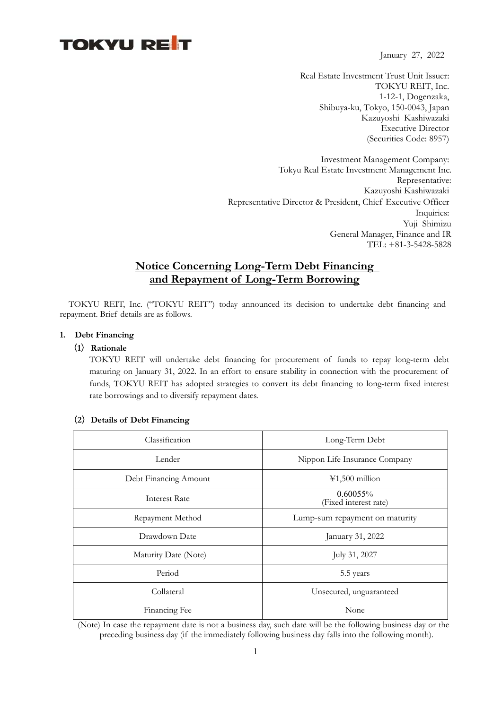# **TOKYU RET**

January 27, 2022

Real Estate Investment Trust Unit Issuer: TOKYU REIT, Inc. 1-12-1, Dogenzaka, Shibuya-ku, Tokyo, 150-0043, Japan Kazuyoshi Kashiwazaki Executive Director (Securities Code: 8957)

Investment Management Company: Tokyu Real Estate Investment Management Inc. Representative: Kazuyoshi Kashiwazaki Representative Director & President, Chief Executive Officer Inquiries: Yuji Shimizu General Manager, Finance and IR TEL: +81-3-5428-5828

## **Notice Concerning Long-Term Debt Financing and Repayment of Long-Term Borrowing**

TOKYU REIT, Inc. ("TOKYU REIT") today announced its decision to undertake debt financing and repayment. Brief details are as follows.

#### **1. Debt Financing**

#### (**1**)**Rationale**

TOKYU REIT will undertake debt financing for procurement of funds to repay long-term debt maturing on January 31, 2022. In an effort to ensure stability in connection with the procurement of funds, TOKYU REIT has adopted strategies to convert its debt financing to long-term fixed interest rate borrowings and to diversify repayment dates.

| Classification        | Long-Term Debt                       |  |
|-----------------------|--------------------------------------|--|
| Lender                | Nippon Life Insurance Company        |  |
| Debt Financing Amount | $\text{\textsterling}1,500$ million  |  |
| Interest Rate         | $0.60055\%$<br>(Fixed interest rate) |  |
| Repayment Method      | Lump-sum repayment on maturity       |  |
| Drawdown Date         | January 31, 2022                     |  |
| Maturity Date (Note)  | July 31, 2027                        |  |
| Period                | 5.5 years                            |  |
| Collateral            | Unsecured, unguaranteed              |  |
| Financing Fee         | None                                 |  |

#### (**2**)**Details of Debt Financing**

 (Note) In case the repayment date is not a business day, such date will be the following business day or the preceding business day (if the immediately following business day falls into the following month).